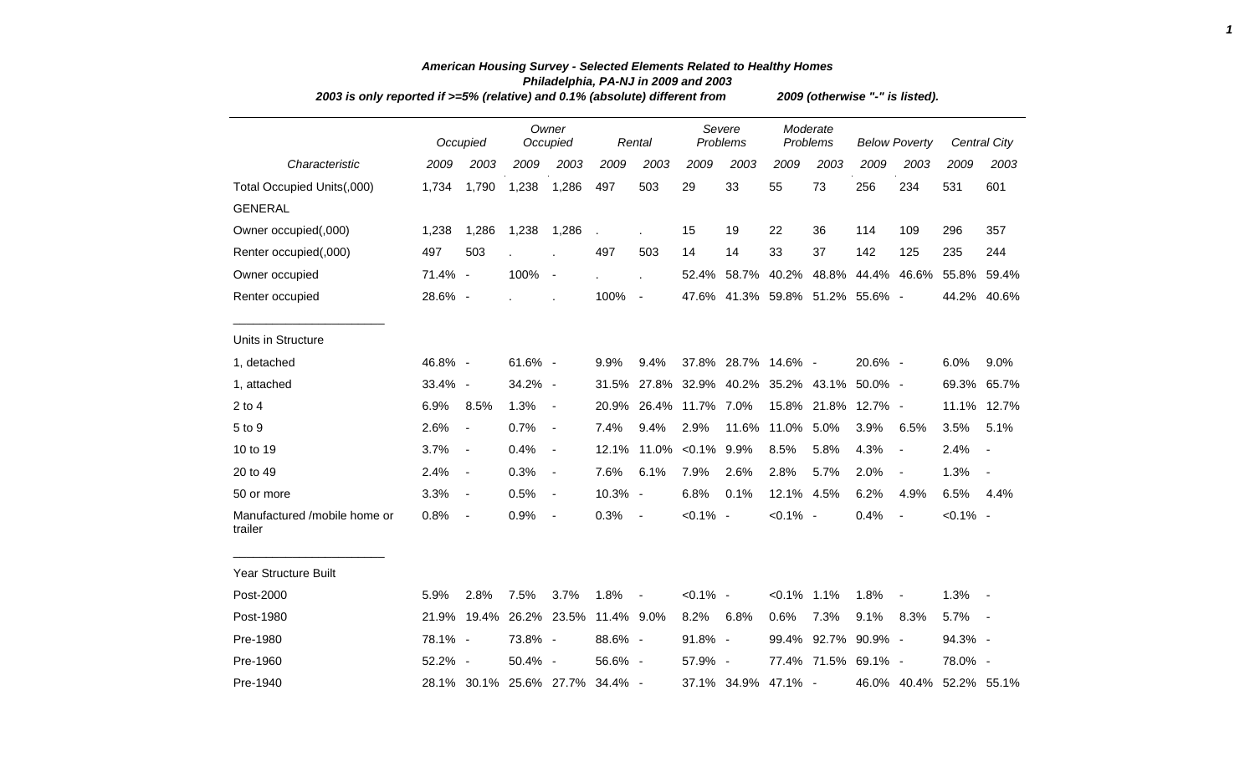| 2003 is only reported if $>=5\%$ (relative) and 0.1% (absolute) different from |         |                          |                              |                          |            |                        | 2009 (otherwise "-" is listed). |                    |                                     |                      |                                 |                          |             |                     |  |  |
|--------------------------------------------------------------------------------|---------|--------------------------|------------------------------|--------------------------|------------|------------------------|---------------------------------|--------------------|-------------------------------------|----------------------|---------------------------------|--------------------------|-------------|---------------------|--|--|
|                                                                                |         | Occupied                 |                              | Owner<br>Occupied        |            | Rental                 |                                 | Severe<br>Problems |                                     | Moderate<br>Problems | <b>Below Poverty</b>            |                          |             | <b>Central City</b> |  |  |
| Characteristic                                                                 | 2009    | 2003                     | 2009                         | 2003                     | 2009       | 2003                   | 2009                            | 2003               | 2009                                | 2003                 | 2009                            | 2003                     | 2009        | 2003                |  |  |
| Total Occupied Units(,000)                                                     | 1,734   | 1,790                    | 1,238                        | 1,286                    | 497        | 503                    | 29                              | 33                 | 55                                  | 73                   | 256                             | 234                      | 531         | 601                 |  |  |
| <b>GENERAL</b>                                                                 |         |                          |                              |                          |            |                        |                                 |                    |                                     |                      |                                 |                          |             |                     |  |  |
| Owner occupied(,000)                                                           | 1,238   | 1,286                    | 1,238                        | 1,286                    |            |                        | 15                              | 19                 | 22                                  | 36                   | 114                             | 109                      | 296         | 357                 |  |  |
| Renter occupied(,000)                                                          | 497     | 503                      |                              |                          | 497        | 503                    | 14                              | 14                 | 33                                  | 37                   | 142                             | 125                      | 235         | 244                 |  |  |
| Owner occupied                                                                 | 71.4% - |                          | 100%                         | $\overline{\phantom{a}}$ |            |                        | 52.4%                           | 58.7%              | 40.2%                               | 48.8%                | 44.4%                           | 46.6%                    | 55.8%       | 59.4%               |  |  |
| Renter occupied                                                                | 28.6% - |                          |                              |                          | 100%       | $\blacksquare$         |                                 |                    |                                     |                      | 47.6% 41.3% 59.8% 51.2% 55.6% - |                          | 44.2%       | 40.6%               |  |  |
| Units in Structure                                                             |         |                          |                              |                          |            |                        |                                 |                    |                                     |                      |                                 |                          |             |                     |  |  |
| 1, detached                                                                    | 46.8% - |                          | 61.6% -                      |                          | 9.9%       | 9.4%                   |                                 |                    | 37.8% 28.7% 14.6% -                 |                      | 20.6% -                         |                          | 6.0%        | 9.0%                |  |  |
| 1, attached                                                                    | 33.4% - |                          | 34.2% -                      |                          |            |                        |                                 |                    | 31.5% 27.8% 32.9% 40.2% 35.2% 43.1% |                      | $50.0\%$ -                      |                          | 69.3%       | 65.7%               |  |  |
| $2$ to $4$                                                                     | 6.9%    | 8.5%                     | 1.3%                         | $\blacksquare$           |            | 20.9% 26.4% 11.7% 7.0% |                                 |                    |                                     | 15.8% 21.8%          | 12.7% -                         |                          |             | 11.1% 12.7%         |  |  |
| 5 to 9                                                                         | 2.6%    | $\overline{\phantom{a}}$ | 0.7%                         | $\blacksquare$           | 7.4%       | 9.4%                   | 2.9%                            | 11.6%              | 11.0%                               | 5.0%                 | 3.9%                            | 6.5%                     | 3.5%        | 5.1%                |  |  |
| 10 to 19                                                                       | 3.7%    | $\blacksquare$           | 0.4%                         | $\blacksquare$           | 12.1%      |                        | 11.0% < 0.1% 9.9%               |                    | 8.5%                                | 5.8%                 | 4.3%                            | $\blacksquare$           | 2.4%        | $\sim$              |  |  |
| 20 to 49                                                                       | 2.4%    | $\blacksquare$           | 0.3%                         | $\overline{\phantom{a}}$ | 7.6%       | 6.1%                   | 7.9%                            | 2.6%               | 2.8%                                | 5.7%                 | 2.0%                            | $\overline{\phantom{a}}$ | 1.3%        | $\sim$              |  |  |
| 50 or more                                                                     | 3.3%    | $\blacksquare$           | 0.5%                         | $\blacksquare$           | 10.3% -    |                        | 6.8%                            | 0.1%               | 12.1% 4.5%                          |                      | 6.2%                            | 4.9%                     | 6.5%        | 4.4%                |  |  |
| Manufactured /mobile home or<br>trailer                                        | 0.8%    | $\blacksquare$           | 0.9%                         | $\overline{\phantom{a}}$ | 0.3%       | $\blacksquare$         | $< 0.1\%$ -                     |                    | $< 0.1\%$ -                         |                      | 0.4%                            | $\sim$                   | $< 0.1\%$ - |                     |  |  |
| Year Structure Built                                                           |         |                          |                              |                          |            |                        |                                 |                    |                                     |                      |                                 |                          |             |                     |  |  |
| Post-2000                                                                      | 5.9%    | 2.8%                     | 7.5%                         | 3.7%                     | 1.8%       | $\blacksquare$         | $< 0.1\%$ -                     |                    | $< 0.1\%$ 1.1%                      |                      | 1.8%                            | $\blacksquare$           | 1.3%        |                     |  |  |
| Post-1980                                                                      | 21.9%   |                          | 19.4% 26.2% 23.5% 11.4% 9.0% |                          |            |                        | 8.2%                            | 6.8%               | 0.6%                                | 7.3%                 | 9.1%                            | 8.3%                     | 5.7%        | $\sim$ $-$          |  |  |
| Pre-1980                                                                       | 78.1% - |                          | 73.8% -                      |                          | 88.6% -    |                        | 91.8% -                         |                    |                                     |                      | 99.4% 92.7% 90.9% -             |                          | 94.3% -     |                     |  |  |
| Pre-1960                                                                       | 52.2% - |                          | 50.4% -                      |                          | 56.6% -    |                        | 57.9% -                         |                    |                                     |                      | 77.4% 71.5% 69.1% -             |                          | 78.0% -     |                     |  |  |
| Pre-1940                                                                       |         |                          | 28.1% 30.1% 25.6% 27.7%      |                          | $34.4\%$ - |                        |                                 | 37.1% 34.9%        | 47.1% -                             |                      |                                 | 46.0% 40.4%              | 52.2% 55.1% |                     |  |  |

## *American Housing Survey - Selected Elements Related to Healthy Homes Philadelphia, PA-NJ in 2009 and 2003*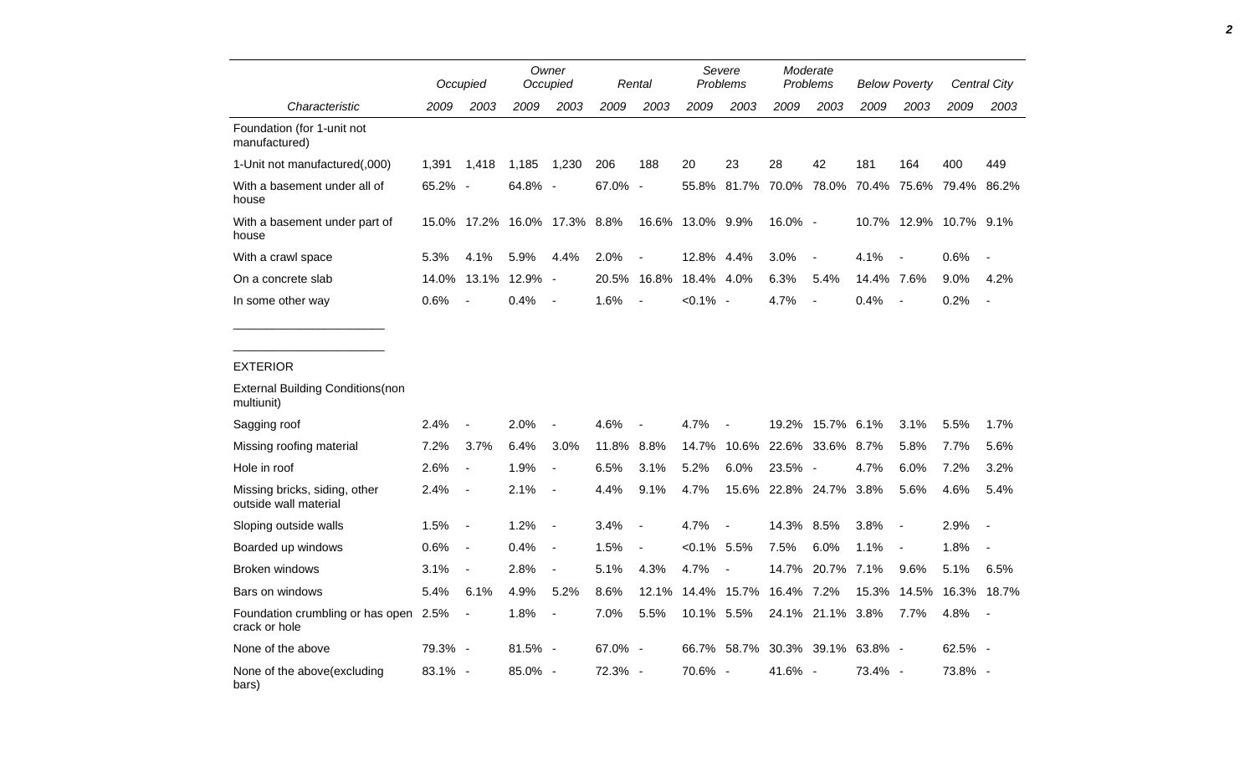|                                                                          |             | Occupied                 |                              | Owner<br>Occupied        |            | Rental                   |                        | Severe<br>Problems       |                              | Moderate<br>Problems                |            | <b>Below Poverty</b>     |           | <b>Central City</b>      |
|--------------------------------------------------------------------------|-------------|--------------------------|------------------------------|--------------------------|------------|--------------------------|------------------------|--------------------------|------------------------------|-------------------------------------|------------|--------------------------|-----------|--------------------------|
| Characteristic                                                           | 2009        | 2003                     | 2009                         | 2003                     | 2009       | 2003                     | 2009                   | 2003                     | 2009                         | 2003                                | 2009       | 2003                     | 2009      | 2003                     |
| Foundation (for 1-unit not<br>manufactured)                              |             |                          |                              |                          |            |                          |                        |                          |                              |                                     |            |                          |           |                          |
| 1-Unit not manufactured(,000)                                            | 1,391 1,418 |                          | 1,185 1,230                  |                          | 206        | 188                      | 20                     | 23                       | 28                           | 42                                  | 181        | 164                      | 400       | 449                      |
| With a basement under all of<br>house                                    | 65.2% -     |                          | 64.8% -                      |                          | 67.0% -    |                          | 55.8%                  | 81.7%                    |                              | 70.0% 78.0% 70.4% 75.6% 79.4% 86.2% |            |                          |           |                          |
| With a basement under part of<br>house                                   |             |                          | 15.0% 17.2% 16.0% 17.3% 8.8% |                          |            |                          | 16.6% 13.0% 9.9%       |                          | $16.0\%$ -                   |                                     |            | 10.7% 12.9% 10.7% 9.1%   |           |                          |
| With a crawl space                                                       | 5.3%        | 4.1%                     | 5.9%                         | 4.4%                     | 2.0%       | $\sim$                   | 12.8% 4.4%             |                          | 3.0%                         | $\blacksquare$                      | 4.1%       | $\sim$                   | 0.6%      | $\sim$                   |
| On a concrete slab                                                       |             |                          | 14.0% 13.1% 12.9% -          |                          |            |                          | 20.5% 16.8% 18.4% 4.0% |                          | 6.3%                         | 5.4%                                | 14.4% 7.6% |                          | 9.0%      | 4.2%                     |
| In some other way                                                        | 0.6%        | $\sim$                   | $0.4\%$ -                    |                          | 1.6%       | $\overline{\phantom{a}}$ | $< 0.1\%$ -            |                          | 4.7%                         | $\sim$                              | 0.4%       | $\sim$                   | 0.2%      | $\overline{\phantom{a}}$ |
| <b>EXTERIOR</b><br><b>External Building Conditions(non</b><br>multiunit) |             |                          |                              |                          |            |                          |                        |                          |                              |                                     |            |                          |           |                          |
| Sagging roof                                                             | 2.4%        | $\overline{\phantom{a}}$ | 2.0%                         |                          | 4.6%       | $\overline{\phantom{a}}$ | 4.7%                   | $\overline{\phantom{a}}$ |                              | 19.2% 15.7% 6.1%                    |            | 3.1%                     | 5.5%      | $1.7\%$                  |
| Missing roofing material                                                 | 7.2%        | 3.7%                     | 6.4%                         | 3.0%                     | 11.8% 8.8% |                          | 14.7%                  | 10.6%                    |                              | 22.6% 33.6% 8.7%                    |            | 5.8%                     | 7.7%      | 5.6%                     |
| Hole in roof                                                             | 2.6%        | $\blacksquare$           | 1.9%                         | $\overline{\phantom{a}}$ | 6.5%       | 3.1%                     | 5.2%                   | 6.0%                     | 23.5% -                      |                                     | 4.7%       | 6.0%                     | 7.2%      | 3.2%                     |
| Missing bricks, siding, other<br>outside wall material                   | $2.4\%$     | $\overline{\phantom{a}}$ | 2.1%                         | $\sim$                   | 4.4%       | 9.1%                     | 4.7%                   |                          | 15.6% 22.8% 24.7% 3.8%       |                                     |            | 5.6%                     | 4.6%      | 5.4%                     |
| Sloping outside walls                                                    | 1.5%        | $\mathcal{A}$            | 1.2%                         | $\sim$                   | 3.4%       | $\sim$                   | 4.7%                   | $\overline{\phantom{a}}$ | 14.3% 8.5%                   |                                     | 3.8%       | $\overline{\phantom{a}}$ | 2.9%      | $\sim$ $-$               |
| Boarded up windows                                                       | 0.6%        | $\sim$                   | 0.4%                         | $\sim$                   | 1.5%       | $\blacksquare$           | $< 0.1\%$ 5.5%         |                          | 7.5%                         | 6.0%                                | 1.1%       | $\sim$                   | 1.8%      | $\sim$ $-$               |
| Broken windows                                                           | 3.1%        | $\overline{\phantom{a}}$ | 2.8%                         | $\sim$                   | 5.1%       | 4.3%                     | 4.7%                   | $\overline{\phantom{a}}$ |                              | 14.7% 20.7% 7.1%                    |            | 9.6%                     | 5.1%      | 6.5%                     |
| Bars on windows                                                          | 5.4%        | 6.1%                     | 4.9%                         | 5.2%                     | 8.6%       |                          |                        |                          | 12.1% 14.4% 15.7% 16.4% 7.2% |                                     |            | 15.3% 14.5% 16.3% 18.7%  |           |                          |
| Foundation crumbling or has open 2.5%<br>crack or hole                   |             | $\overline{\phantom{a}}$ | 1.8%                         | $\sim$                   | 7.0%       | 5.5%                     | 10.1% 5.5%             |                          |                              | 24.1% 21.1% 3.8%                    |            | 7.7%                     | 4.8%      | $\sim$ $-$               |
| None of the above                                                        | 79.3% -     |                          | 81.5% -                      |                          | 67.0% -    |                          |                        | 66.7% 58.7%              |                              | 30.3% 39.1% 63.8% -                 |            |                          | $62.5%$ - |                          |
| None of the above(excluding<br>bars)                                     | $83.1\% -$  |                          | 85.0% -                      |                          | 72.3% -    |                          | 70.6% -                |                          | 41.6% -                      |                                     | 73.4% -    |                          | 73.8% -   |                          |

*2*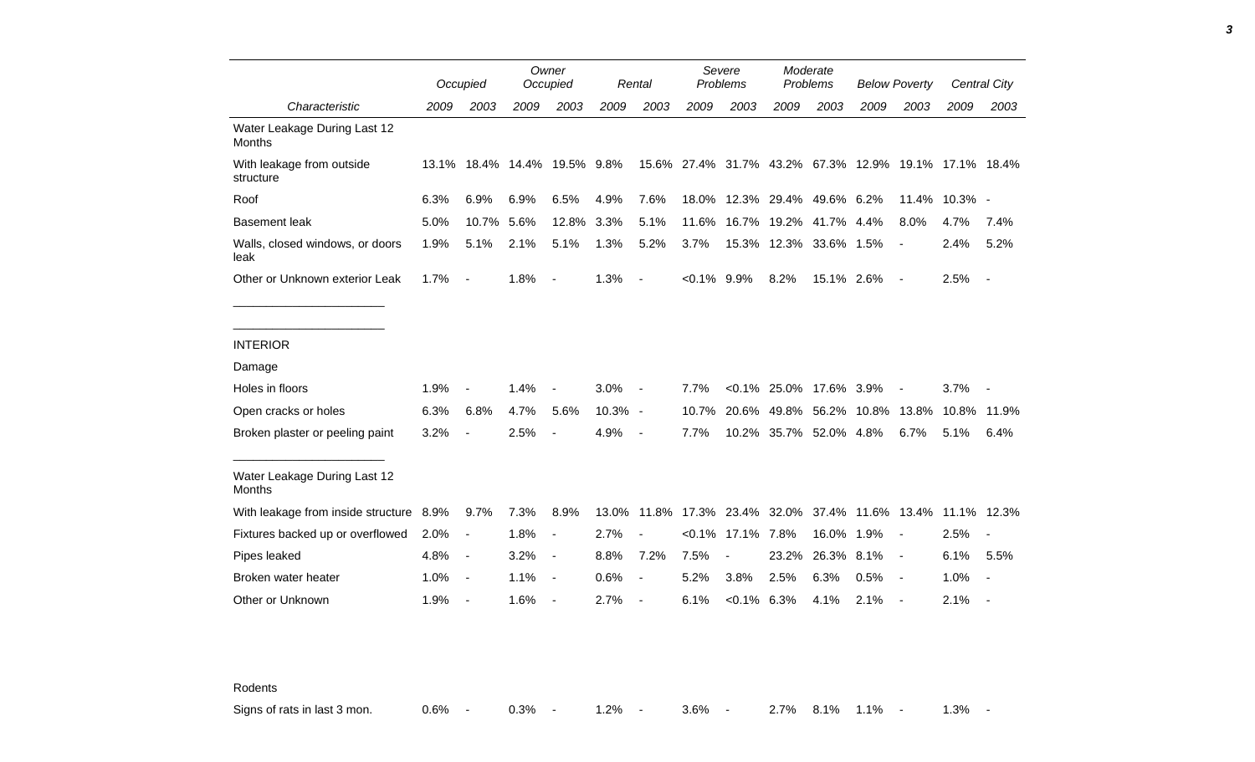|                                               |      | Occupied                 |                              | Owner<br>Occupied        |         | Rental                   | Severe<br>Problems |                                                       | Moderate<br><b>Problems</b> |                        | <b>Below Poverty</b> |                          |               | Central City             |
|-----------------------------------------------|------|--------------------------|------------------------------|--------------------------|---------|--------------------------|--------------------|-------------------------------------------------------|-----------------------------|------------------------|----------------------|--------------------------|---------------|--------------------------|
| Characteristic                                | 2009 | 2003                     | 2009                         | 2003                     | 2009    | 2003                     | 2009               | 2003                                                  | 2009                        | 2003                   | 2009                 | 2003                     | 2009          | 2003                     |
| Water Leakage During Last 12<br><b>Months</b> |      |                          |                              |                          |         |                          |                    |                                                       |                             |                        |                      |                          |               |                          |
| With leakage from outside<br>structure        |      |                          | 13.1% 18.4% 14.4% 19.5% 9.8% |                          |         |                          |                    | 15.6% 27.4% 31.7% 43.2% 67.3% 12.9% 19.1% 17.1% 18.4% |                             |                        |                      |                          |               |                          |
| Roof                                          | 6.3% | 6.9%                     | 6.9%                         | 6.5%                     | 4.9%    | 7.6%                     |                    | 18.0% 12.3% 29.4% 49.6% 6.2%                          |                             |                        |                      |                          | 11.4% 10.3% - |                          |
| <b>Basement leak</b>                          | 5.0% | 10.7%                    | 5.6%                         | 12.8%                    | 3.3%    | 5.1%                     | 11.6%              |                                                       |                             | 16.7% 19.2% 41.7% 4.4% |                      | 8.0%                     | 4.7%          | 7.4%                     |
| Walls, closed windows, or doors<br>leak       | 1.9% | 5.1%                     | 2.1%                         | 5.1%                     | 1.3%    | 5.2%                     | 3.7%               |                                                       |                             | 15.3% 12.3% 33.6% 1.5% |                      |                          | 2.4%          | 5.2%                     |
| Other or Unknown exterior Leak                | 1.7% | $\blacksquare$           | 1.8%                         | $\overline{\phantom{a}}$ | 1.3%    | $\blacksquare$           | $< 0.1\%$ 9.9%     |                                                       | 8.2%                        | 15.1% 2.6%             |                      | $\overline{\phantom{a}}$ | 2.5%          | $\overline{\phantom{a}}$ |
|                                               |      |                          |                              |                          |         |                          |                    |                                                       |                             |                        |                      |                          |               |                          |
| <b>INTERIOR</b>                               |      |                          |                              |                          |         |                          |                    |                                                       |                             |                        |                      |                          |               |                          |
| Damage                                        |      |                          |                              |                          |         |                          |                    |                                                       |                             |                        |                      |                          |               |                          |
| Holes in floors                               | 1.9% |                          | 1.4%                         |                          | 3.0%    |                          | 7.7%               |                                                       |                             | <0.1% 25.0% 17.6% 3.9% |                      |                          | 3.7%          |                          |
| Open cracks or holes                          | 6.3% | 6.8%                     | 4.7%                         | 5.6%                     | 10.3% - |                          | 10.7%              | 20.6%                                                 |                             | 49.8% 56.2% 10.8%      |                      | 13.8%                    | 10.8%         | 11.9%                    |
| Broken plaster or peeling paint               | 3.2% | $\overline{\phantom{a}}$ | 2.5%                         |                          | 4.9%    | $\overline{\phantom{a}}$ | 7.7%               |                                                       |                             | 10.2% 35.7% 52.0% 4.8% |                      | 6.7%                     | 5.1%          | 6.4%                     |
| Water Leakage During Last 12<br><b>Months</b> |      |                          |                              |                          |         |                          |                    |                                                       |                             |                        |                      |                          |               |                          |
| With leakage from inside structure            | 8.9% | 9.7%                     | 7.3%                         | 8.9%                     | 13.0%   |                          |                    | 11.8% 17.3% 23.4% 32.0%                               |                             |                        |                      | 37.4% 11.6% 13.4%        |               | 11.1% 12.3%              |
| Fixtures backed up or overflowed              | 2.0% | $\overline{\phantom{a}}$ | 1.8%                         | $\blacksquare$           | 2.7%    | $\sim$                   | $< 0.1\%$          | 17.1% 7.8%                                            |                             | 16.0%                  | 1.9%                 |                          | 2.5%          | $\overline{\phantom{a}}$ |
| Pipes leaked                                  | 4.8% | $\overline{\phantom{a}}$ | 3.2%                         | $\overline{\phantom{a}}$ | 8.8%    | 7.2%                     | 7.5%               | $\overline{\phantom{a}}$                              | 23.2%                       | 26.3% 8.1%             |                      | $\blacksquare$           | 6.1%          | 5.5%                     |
| Broken water heater                           | 1.0% | $\overline{\phantom{a}}$ | 1.1%                         | $\overline{\phantom{a}}$ | 0.6%    | $\blacksquare$           | 5.2%               | 3.8%                                                  | 2.5%                        | 6.3%                   | 0.5%                 |                          | 1.0%          | $\overline{\phantom{a}}$ |
| Other or Unknown                              | 1.9% | $\blacksquare$           | 1.6%                         |                          | 2.7%    |                          | 6.1%               | $< 0.1\%$ 6.3%                                        |                             | 4.1%                   | 2.1%                 |                          | 2.1%          |                          |

Rodents

Signs of rats in last 3 mon. 0.6% - 0.3% - 1.2% - 3.6% - 2.7% 8.1% 1.1% - 1.3% -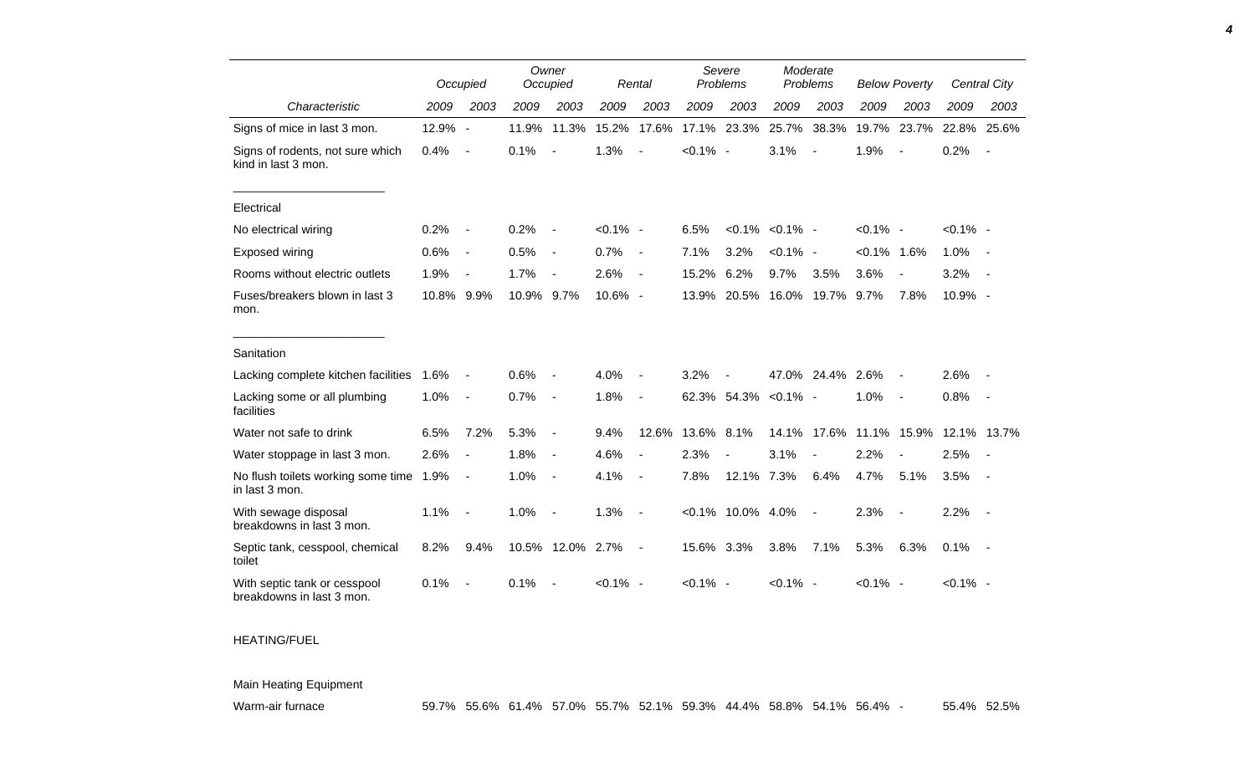|                                                           |            | Occupied                     |            | Owner<br>Occupied        |             | Rental                   |             | Severe<br>Problems       |                        | Moderate<br>Problems |                   | <b>Below Poverty</b>     |             | Central City             |
|-----------------------------------------------------------|------------|------------------------------|------------|--------------------------|-------------|--------------------------|-------------|--------------------------|------------------------|----------------------|-------------------|--------------------------|-------------|--------------------------|
| Characteristic                                            | 2009       | 2003                         | 2009       | 2003                     | 2009        | 2003                     | 2009        | 2003                     | 2009                   | 2003                 | 2009              | 2003                     | 2009        | 2003                     |
| Signs of mice in last 3 mon.                              | 12.9% -    |                              | 11.9%      | 11.3%                    | 15.2%       | 17.6%                    | 17.1%       | 23.3%                    | 25.7%                  | 38.3%                | 19.7%             | 23.7%                    | 22.8%       | 25.6%                    |
| Signs of rodents, not sure which<br>kind in last 3 mon.   | 0.4%       | $\overline{\phantom{a}}$     | 0.1%       |                          | 1.3%        |                          | $< 0.1\%$ - |                          | 3.1%                   |                      | 1.9%              |                          | 0.2%        | $\overline{\phantom{a}}$ |
| Electrical                                                |            |                              |            |                          |             |                          |             |                          |                        |                      |                   |                          |             |                          |
| No electrical wiring                                      | 0.2%       | $\overline{\phantom{a}}$     | 0.2%       | $\overline{\phantom{a}}$ | $< 0.1\%$ - |                          | 6.5%        |                          | $< 0.1\%$ $< 0.1\%$ -  |                      | $< 0.1\%$ -       |                          | $< 0.1\%$ - |                          |
| Exposed wiring                                            | 0.6%       | $\overline{\phantom{a}}$     | 0.5%       | $\overline{\phantom{a}}$ | 0.7%        | $\overline{\phantom{a}}$ | 7.1%        | 3.2%                     | $< 0.1\%$ -            |                      | $< 0.1\%$ 1.6%    |                          | 1.0%        | $\sim$ $-$               |
| Rooms without electric outlets                            | 1.9%       | $\overline{\phantom{a}}$     | 1.7%       |                          | 2.6%        | $\overline{\phantom{a}}$ | 15.2%       | 6.2%                     | 9.7%                   | 3.5%                 | 3.6%              | $\overline{\phantom{a}}$ | 3.2%        |                          |
| Fuses/breakers blown in last 3<br>mon.                    | 10.8% 9.9% |                              | 10.9% 9.7% |                          | 10.6% -     |                          | 13.9%       |                          | 20.5% 16.0% 19.7% 9.7% |                      |                   | 7.8%                     | 10.9% -     |                          |
| Sanitation                                                |            |                              |            |                          |             |                          |             |                          |                        |                      |                   |                          |             |                          |
| Lacking complete kitchen facilities                       | 1.6%       | $\qquad \qquad \blacksquare$ | 0.6%       |                          | 4.0%        |                          | 3.2%        |                          |                        | 47.0% 24.4% 2.6%     |                   | $\sim$                   | 2.6%        |                          |
| Lacking some or all plumbing<br>facilities                | 1.0%       | $\overline{\phantom{a}}$     | 0.7%       | $\overline{\phantom{a}}$ | 1.8%        | $\blacksquare$           |             | 62.3% 54.3%              | $< 0.1\%$ -            |                      | 1.0%              | $\sim$                   | 0.8%        | $\sim$                   |
| Water not safe to drink                                   | 6.5%       | 7.2%                         | 5.3%       | $\overline{\phantom{a}}$ | 9.4%        | 12.6%                    | 13.6%       | 8.1%                     | 14.1%                  |                      | 17.6% 11.1% 15.9% |                          |             | 12.1% 13.7%              |
| Water stoppage in last 3 mon.                             | 2.6%       | $\overline{\phantom{a}}$     | 1.8%       | $\overline{\phantom{a}}$ | 4.6%        | $\blacksquare$           | 2.3%        | $\overline{\phantom{a}}$ | 3.1%                   | $\blacksquare$       | 2.2%              | $\overline{\phantom{a}}$ | 2.5%        | $\sim$                   |
| No flush toilets working some time<br>in last 3 mon.      | 1.9%       | $\blacksquare$               | 1.0%       | $\overline{\phantom{a}}$ | 4.1%        | $\overline{\phantom{a}}$ | 7.8%        | 12.1% 7.3%               |                        | 6.4%                 | 4.7%              | 5.1%                     | 3.5%        | $\sim$                   |
| With sewage disposal<br>breakdowns in last 3 mon.         | 1.1%       | $\overline{\phantom{a}}$     | 1.0%       | $\overline{\phantom{a}}$ | 1.3%        | $\blacksquare$           |             | $< 0.1\%$ 10.0% 4.0%     |                        | $\sim$               | 2.3%              | $\sim$                   | 2.2%        | $\sim$                   |
| Septic tank, cesspool, chemical<br>toilet                 | 8.2%       | 9.4%                         |            | 10.5% 12.0% 2.7%         |             | $\blacksquare$           | 15.6% 3.3%  |                          | 3.8%                   | 7.1%                 | 5.3%              | 6.3%                     | 0.1%        | $\sim$ $\sim$            |
| With septic tank or cesspool<br>breakdowns in last 3 mon. | 0.1%       |                              | 0.1%       |                          | $< 0.1\%$ - |                          | $< 0.1\%$ - |                          | $< 0.1\%$ -            |                      | $< 0.1\%$ -       |                          | $< 0.1\%$ - |                          |

## HEATING/FUEL

## Main Heating Equipment

*4*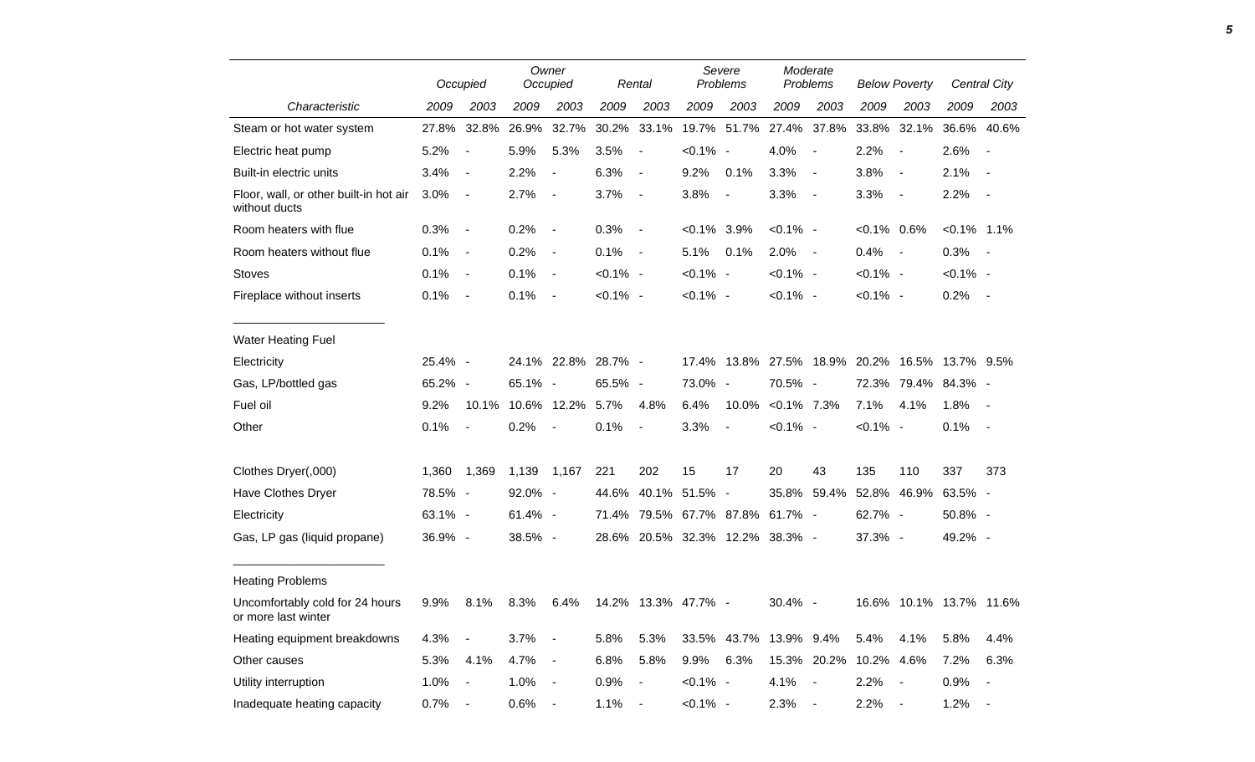|                                                         |         | Occupied                 |                        | Owner<br>Occupied        |             | Rental                       |                | Severe<br>Problems       |                                 | Moderate<br>Problems                           |                | <b>Below Poverty</b>     |                         | Central City   |
|---------------------------------------------------------|---------|--------------------------|------------------------|--------------------------|-------------|------------------------------|----------------|--------------------------|---------------------------------|------------------------------------------------|----------------|--------------------------|-------------------------|----------------|
| Characteristic                                          | 2009    | 2003                     | 2009                   | 2003                     | 2009        | 2003                         | 2009           | 2003                     | 2009                            | 2003                                           | 2009           | 2003                     | 2009                    | 2003           |
| Steam or hot water system                               | 27.8%   | 32.8%                    | 26.9%                  | 32.7%                    |             | 30.2% 33.1%                  |                | 19.7% 51.7%              |                                 | 27.4% 37.8%                                    | 33.8%          | 32.1%                    | 36.6%                   | 40.6%          |
| Electric heat pump                                      | 5.2%    | $\overline{\phantom{a}}$ | 5.9%                   | 5.3%                     | 3.5%        | $\blacksquare$               | $< 0.1\%$ -    |                          | 4.0%                            | $\overline{\phantom{a}}$                       | 2.2%           | $\overline{\phantom{a}}$ | 2.6%                    | $\sim$         |
| Built-in electric units                                 | 3.4%    | $\overline{\phantom{a}}$ | 2.2%                   | $\overline{\phantom{a}}$ | 6.3%        | $\blacksquare$               | 9.2%           | 0.1%                     | 3.3%                            | $\sim$                                         | 3.8%           | $\sim$                   | 2.1%                    | $\sim$         |
| Floor, wall, or other built-in hot air<br>without ducts | 3.0%    | $\overline{\phantom{a}}$ | 2.7%                   | $\blacksquare$           | 3.7%        | $\blacksquare$               | 3.8%           | $\blacksquare$           | 3.3%                            | $\sim$                                         | 3.3%           | $\sim$ $-$               | 2.2%                    | $\sim$ $-$     |
| Room heaters with flue                                  | 0.3%    | $\sim$                   | 0.2%                   | $\blacksquare$           | 0.3%        | $\blacksquare$               | $< 0.1\%$ 3.9% |                          | $< 0.1\%$ -                     |                                                | $< 0.1\%$ 0.6% |                          | $< 0.1\%$ 1.1%          |                |
| Room heaters without flue                               | 0.1%    | $\sim$                   | 0.2%                   | $\blacksquare$           | 0.1%        | $\sim$ $-$                   | 5.1%           | 0.1%                     | 2.0%                            | $\sim$ $-$                                     | 0.4%           | $\sim$ $-$               | 0.3%                    | $\sim$ $-$     |
| <b>Stoves</b>                                           | 0.1%    | $\sim$                   | 0.1%                   | $\overline{\phantom{a}}$ | $< 0.1\%$ - |                              | $< 0.1\%$ -    |                          | $< 0.1\%$ -                     |                                                | $< 0.1\%$ -    |                          | $< 0.1\%$ -             |                |
| Fireplace without inserts                               | 0.1%    | $\blacksquare$           | 0.1%                   | $\blacksquare$           | $< 0.1\%$ - |                              | $< 0.1\%$ -    |                          | $< 0.1\%$ -                     |                                                | $< 0.1\%$ -    |                          | 0.2%                    | $\sim$ $-$     |
| <b>Water Heating Fuel</b>                               |         |                          |                        |                          |             |                              |                |                          |                                 |                                                |                |                          |                         |                |
| Electricity                                             | 25.4% - |                          |                        | 24.1% 22.8% 28.7% -      |             |                              |                |                          |                                 | 17.4% 13.8% 27.5% 18.9% 20.2% 16.5% 13.7% 9.5% |                |                          |                         |                |
| Gas, LP/bottled gas                                     | 65.2% - |                          | 65.1% -                |                          | 65.5% -     |                              | 73.0% -        |                          | 70.5% -                         |                                                |                |                          | 72.3% 79.4% 84.3% -     |                |
| Fuel oil                                                | 9.2%    |                          | 10.1% 10.6% 12.2% 5.7% |                          |             | 4.8%                         | 6.4%           | 10.0%                    | $< 0.1\%$ 7.3%                  |                                                | 7.1%           | 4.1%                     | 1.8%                    | $\sim$ $-$     |
| Other                                                   | 0.1%    | $\overline{\phantom{a}}$ | 0.2%                   | $\blacksquare$           | 0.1%        | $\overline{\phantom{a}}$     | 3.3%           | $\overline{\phantom{a}}$ | $< 0.1\%$ -                     |                                                | $< 0.1\%$ -    |                          | 0.1%                    | $\sim$         |
| Clothes Dryer(,000)                                     | 1,360   | 1,369                    | 1,139                  | 1,167                    | 221         | 202                          | 15             | 17                       | 20                              | 43                                             | 135            | 110                      | 337                     | 373            |
| Have Clothes Dryer                                      | 78.5% - |                          | 92.0% -                |                          |             | 44.6% 40.1% 51.5% -          |                |                          | 35.8%                           | 59.4%                                          | 52.8%          | 46.9%                    | 63.5% -                 |                |
| Electricity                                             | 63.1% - |                          | 61.4% -                |                          |             | 71.4% 79.5% 67.7% 87.8%      |                |                          | 61.7% -                         |                                                | 62.7% -        |                          | 50.8% -                 |                |
| Gas, LP gas (liquid propane)                            | 36.9% - |                          | 38.5% -                |                          |             |                              |                |                          | 28.6% 20.5% 32.3% 12.2% 38.3% - |                                                | 37.3% -        |                          | 49.2% -                 |                |
| <b>Heating Problems</b>                                 |         |                          |                        |                          |             |                              |                |                          |                                 |                                                |                |                          |                         |                |
| Uncomfortably cold for 24 hours<br>or more last winter  | 9.9%    | 8.1%                     | 8.3%                   | 6.4%                     |             | 14.2% 13.3% 47.7% -          |                |                          | 30.4% -                         |                                                |                |                          | 16.6% 10.1% 13.7% 11.6% |                |
| Heating equipment breakdowns                            | 4.3%    | $\blacksquare$           | 3.7%                   | $\blacksquare$           | 5.8%        | 5.3%                         |                |                          | 33.5% 43.7% 13.9% 9.4%          |                                                | 5.4%           | 4.1%                     | 5.8%                    | 4.4%           |
| Other causes                                            | 5.3%    | 4.1%                     | 4.7%                   | $\blacksquare$           | 6.8%        | 5.8%                         | 9.9%           | 6.3%                     |                                 | 15.3% 20.2%                                    | 10.2% 4.6%     |                          | 7.2%                    | 6.3%           |
| Utility interruption                                    | 1.0%    | $\overline{\phantom{a}}$ | 1.0%                   | $\blacksquare$           | 0.9%        | $\qquad \qquad \blacksquare$ | $< 0.1\%$ -    |                          | 4.1%                            | $\overline{\phantom{a}}$                       | 2.2%           |                          | 0.9%                    | $\blacksquare$ |
| Inadequate heating capacity                             | 0.7%    | $\blacksquare$           | 0.6%                   | $\blacksquare$           | 1.1%        | $\blacksquare$               | $< 0.1\%$ -    |                          | 2.3%                            | $\blacksquare$                                 | 2.2%           |                          | 1.2%                    | $\blacksquare$ |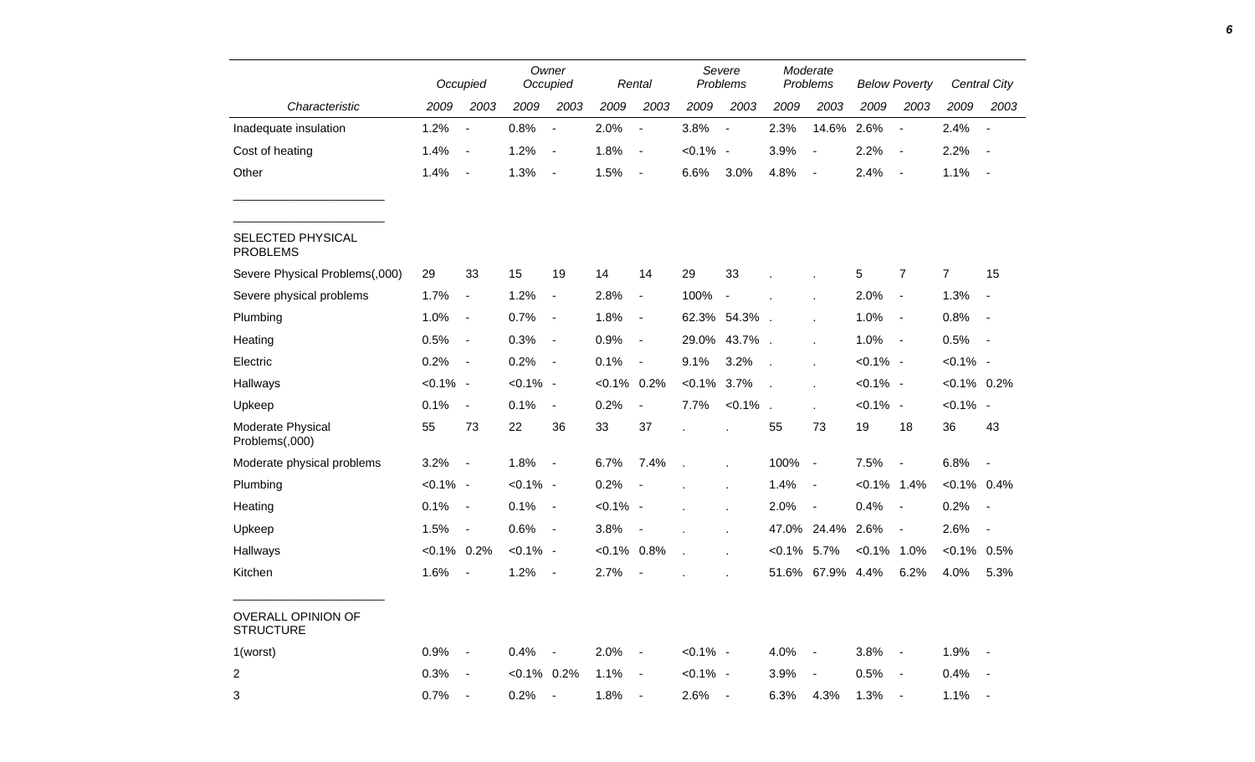|                                        |                | Occupied                 |                | Owner<br>Occupied        |                | Rental         |                | Severe<br>Problems |                | Moderate<br>Problems |                | <b>Below Poverty</b>     |                | Central City             |
|----------------------------------------|----------------|--------------------------|----------------|--------------------------|----------------|----------------|----------------|--------------------|----------------|----------------------|----------------|--------------------------|----------------|--------------------------|
| Characteristic                         | 2009           | 2003                     | 2009           | 2003                     | 2009           | 2003           | 2009           | 2003               | 2009           | 2003                 | 2009           | 2003                     | 2009           | 2003                     |
| Inadequate insulation                  | 1.2%           | $\overline{\phantom{a}}$ | 0.8%           | $\overline{\phantom{a}}$ | 2.0%           | $\blacksquare$ | 3.8%           | $\sim$             | 2.3%           | 14.6%                | 2.6%           | $\overline{\phantom{a}}$ | 2.4%           | $\overline{\phantom{a}}$ |
| Cost of heating                        | 1.4%           | $\sim$ $-$               | 1.2%           | $\blacksquare$           | 1.8%           | $\blacksquare$ | $< 0.1\%$ -    |                    | 3.9%           | $\blacksquare$       | 2.2%           | $\blacksquare$           | 2.2%           | $\blacksquare$           |
| Other                                  | 1.4%           | $\sim$                   | 1.3%           | $\blacksquare$           | 1.5%           | $\blacksquare$ | 6.6%           | 3.0%               | 4.8%           | $\sim$               | 2.4%           | $\sim$ $-$               | 1.1%           | $\blacksquare$           |
| SELECTED PHYSICAL<br><b>PROBLEMS</b>   |                |                          |                |                          |                |                |                |                    |                |                      |                |                          |                |                          |
| Severe Physical Problems(,000)         | 29             | 33                       | 15             | 19                       | 14             | 14             | 29             | 33                 |                |                      | 5              | $\overline{7}$           | $\overline{7}$ | 15                       |
| Severe physical problems               | 1.7%           | $\blacksquare$           | 1.2%           | $\blacksquare$           | 2.8%           | $\blacksquare$ | 100%           | $\blacksquare$     |                |                      | 2.0%           | $\blacksquare$           | 1.3%           | $\overline{\phantom{a}}$ |
| Plumbing                               | 1.0%           | $\sim$                   | 0.7%           | $\blacksquare$           | 1.8%           | $\blacksquare$ |                | 62.3% 54.3%.       |                |                      | 1.0%           | $\blacksquare$           | 0.8%           | $\overline{\phantom{a}}$ |
| Heating                                | 0.5%           | $\sim$ $-$               | 0.3%           | $\blacksquare$           | 0.9%           | $\blacksquare$ |                | 29.0% 43.7%.       |                |                      | 1.0%           | $\blacksquare$           | 0.5%           | $\blacksquare$           |
| Electric                               | 0.2%           | $\sim$                   | 0.2%           | $\overline{\phantom{a}}$ | 0.1%           | $\blacksquare$ | 9.1%           | 3.2%               | $\mathcal{L}$  |                      | $< 0.1\%$ -    |                          | $< 0.1\%$ -    |                          |
| Hallways                               | $< 0.1\%$ -    |                          | $< 0.1\%$ -    |                          | $< 0.1\%$ 0.2% |                | $< 0.1\%$ 3.7% |                    | $\mathbf{r}$   |                      | $< 0.1\%$ -    |                          | $< 0.1\%$ 0.2% |                          |
| Upkeep                                 | 0.1%           | $\blacksquare$           | 0.1%           | $\blacksquare$           | 0.2%           | $\blacksquare$ | 7.7%           | $< 0.1\%$ .        |                | $\mathbf{r}$         | $< 0.1\%$ -    |                          | $< 0.1\%$ -    |                          |
| Moderate Physical<br>Problems(,000)    | 55             | 73                       | 22             | 36                       | 33             | 37             |                |                    | 55             | 73                   | 19             | 18                       | 36             | 43                       |
| Moderate physical problems             | $3.2\%$ -      |                          | 1.8%           | $\blacksquare$           | 6.7%           | 7.4%           |                |                    | 100% -         |                      | 7.5%           |                          | 6.8%           | $\overline{\phantom{a}}$ |
| Plumbing                               | $< 0.1\%$ -    |                          | $< 0.1\%$ -    |                          | 0.2%           | $\blacksquare$ |                |                    | 1.4%           | $\sim$               | $< 0.1\%$ 1.4% |                          | $< 0.1\%$ 0.4% |                          |
| Heating                                | 0.1%           | $\sim$                   | 0.1%           | $\blacksquare$           | $< 0.1\%$ -    |                | ä,             |                    | 2.0%           | $\sim$ $-$           | 0.4%           | $\overline{\phantom{a}}$ | 0.2%           | $\overline{\phantom{a}}$ |
| Upkeep                                 | 1.5%           | $\sim$ $-$               | 0.6%           | $\blacksquare$           | 3.8%           | $\blacksquare$ |                |                    |                | 47.0% 24.4%          | 2.6%           | $\blacksquare$           | 2.6%           | $\blacksquare$           |
| Hallways                               | $< 0.1\%$ 0.2% |                          | $< 0.1\%$ -    |                          | $< 0.1\%$ 0.8% |                |                |                    | $< 0.1\%$ 5.7% |                      | $< 0.1\%$ 1.0% |                          | $< 0.1\%$ 0.5% |                          |
| Kitchen                                | 1.6%           | $\sim$                   | 1.2%           | $\blacksquare$           | 2.7%           | $\blacksquare$ |                |                    |                | 51.6% 67.9% 4.4%     |                | 6.2%                     | 4.0%           | 5.3%                     |
| OVERALL OPINION OF<br><b>STRUCTURE</b> |                |                          |                |                          |                |                |                |                    |                |                      |                |                          |                |                          |
| 1(worst)                               | $0.9\%$ -      |                          | $0.4\%$ -      |                          | $2.0\%$ -      |                | $< 0.1\%$ -    |                    | $4.0\%$ -      |                      | $3.8\%$ -      |                          | $1.9\%$ -      |                          |
| $\overline{a}$                         | $0.3\%$ -      |                          | $< 0.1\%$ 0.2% |                          | 1.1%           | $\sim$ $-$     | $< 0.1\%$ -    |                    | 3.9%           | $\sim$ $-$           | $0.5\%$ -      |                          | $0.4\%$ -      |                          |
| 3                                      | $0.7\%$ -      |                          | $0.2\%$ -      |                          | $1.8\%$ -      |                | $2.6\%$ -      |                    | 6.3% 4.3%      |                      | $1.3\%$ -      |                          | $1.1\% -$      |                          |